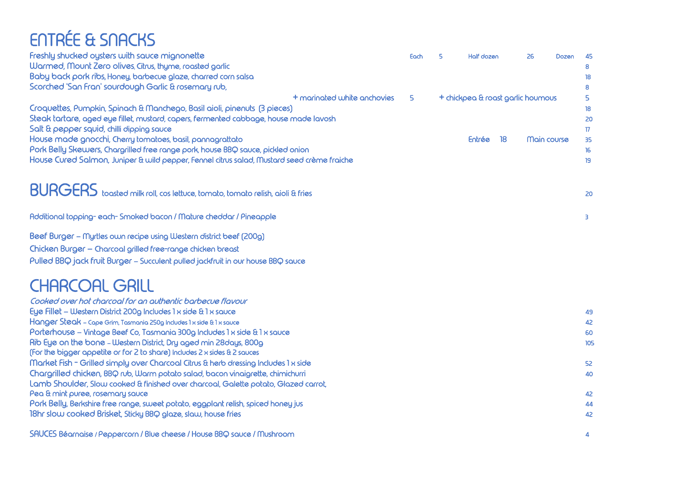## ENTRÉE & SNACKS

| Freshly shucked oysters with sauce mignonette                                              | Each | 5 | Half dozen                        |    | 26 | Dozen       | 45  |
|--------------------------------------------------------------------------------------------|------|---|-----------------------------------|----|----|-------------|-----|
| Warmed, Mount Zero olives, Citrus, thyme, roasted garlic                                   |      |   |                                   |    |    |             |     |
| Baby back pork ribs, Honey, barbecue glaze, charred corn salsa                             |      |   |                                   |    |    |             | 18  |
| Scorched 'San Fran' sourdough Garlic & rosemary rub,                                       |      |   |                                   |    |    |             | 8   |
| + marinated white anchovies                                                                | 5    |   | + chickpea & roast garlic houmous |    |    |             | 5.  |
| Croquettes, Pumpkin, Spinach & Manchego, Basil aioli, pinenuts (3 pieces)                  |      |   |                                   |    |    |             | 18  |
| Steak tartare, aged eye fillet, mustard, capers, fermented cabbage, house made lavosh      |      |   |                                   |    |    |             | 20  |
| Salt & pepper squid, chilli dipping sauce                                                  |      |   |                                   |    |    |             | 17  |
| House made gnocchi, Cherry tomatoes, basil, pannagrattato                                  |      |   | Entrée                            | 18 |    | Main course | 35  |
| Pork Belly Skewers, Chargrilled free range pork, house BBQ sauce, pickled onion            |      |   |                                   |    |    |             | 16  |
| House Cured Salmon, Juniper & wild pepper, Fennel citrus salad, Mustard seed crème fraiche |      |   |                                   |    |    |             | 19  |
|                                                                                            |      |   |                                   |    |    |             |     |
| BURGERS toasted milk roll, cos lettuce, tomato, tomato relish, aioli & fries               |      |   |                                   |    |    |             | 20  |
| Additional topping-each-Smoked bacon / Mature cheddar / Pineapple                          |      |   |                                   |    |    |             | 3   |
| Beef Burger - Myrtles own recipe using Western district beef (200g)                        |      |   |                                   |    |    |             |     |
| Chicken Burger - Charcoal grilled free-range chicken breast                                |      |   |                                   |    |    |             |     |
| Pulled BBQ jack fruit Burger - Succulent pulled jackfruit in our house BBQ sauce           |      |   |                                   |    |    |             |     |
| <b>CHARCOAL GRILL</b>                                                                      |      |   |                                   |    |    |             |     |
|                                                                                            |      |   |                                   |    |    |             |     |
| Cooked over hot charcoal for an authentic barbecue flavour                                 |      |   |                                   |    |    |             |     |
| Eye Fillet - Western District 200g Includes 1 x side & 1 x squce                           |      |   |                                   |    |    |             | 49  |
| Hanger Steak - Cape Grim, Tasmania 250g Includes 1 x side & 1 x sauce                      |      |   |                                   |    |    |             | 42  |
| Porterhouse - Vintage Beef Co, Tasmania 300g Includes 1 x side & 1 x sauce                 |      |   |                                   |    |    |             | 60  |
| Rib Eye on the bone - Western District, Dry aged min 28 days, 800g                         |      |   |                                   |    |    |             | 105 |
| (For the bigger appetite or for 2 to share) Includes 2 x sides & 2 sauces                  |      |   |                                   |    |    |             |     |
| Market Fish - Grilled simply over Charcoal Citrus & herb dressing Includes 1 x side        |      |   |                                   |    |    |             | 52  |
| Chargrilled chicken, BBQ rub, Warm potato salad, bacon vinaigrette, chimichurri            |      |   |                                   |    |    |             | 40  |
| Lamb Shoulder, Slow cooked & finished over charcoal, Galette potato, Glazed carrot,        |      |   |                                   |    |    |             |     |
| Pea & mint puree, rosemary sauce                                                           |      |   |                                   |    |    |             | 42  |
| Pork Belly, Berkshire free range, sweet potato, eggplant relish, spiced honey jus          |      |   |                                   |    |    |             | 44  |
| 18hr slow cooked Brisket, Sticky BBQ glaze, slaw, house fries                              |      |   |                                   |    |    |             | 42  |
| SAUCES Béarnaise / Peppercorn / Blue cheese / House BBQ sauce / Mushroom                   |      |   |                                   |    |    |             | 4   |